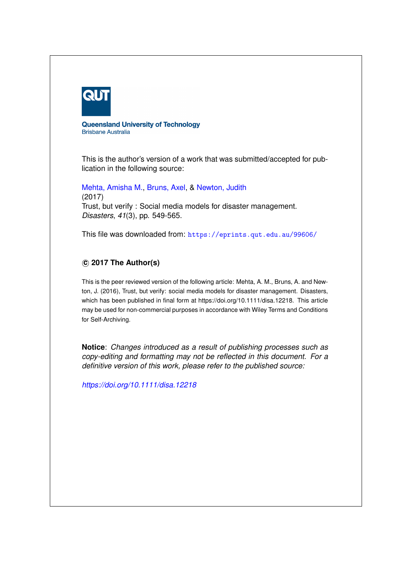

**Queensland University of Technology Brisbane Australia** 

This is the author's version of a work that was submitted/accepted for publication in the following source:

[Mehta, Amisha M.,](https://eprints.qut.edu.au/view/person/Mehta,_Amisha.html) [Bruns, Axel,](https://eprints.qut.edu.au/view/person/Bruns,_Axel.html) & [Newton, Judith](https://eprints.qut.edu.au/view/person/Newton,_Judith.html) (2017) Trust, but verify : Social media models for disaster management. *Disasters*, *41*(3), pp. 549-565.

This file was downloaded from: <https://eprints.qut.edu.au/99606/>

# **c 2017 The Author(s)**

This is the peer reviewed version of the following article: Mehta, A. M., Bruns, A. and Newton, J. (2016), Trust, but verify: social media models for disaster management. Disasters, which has been published in final form at https://doi.org/10.1111/disa.12218. This article may be used for non-commercial purposes in accordance with Wiley Terms and Conditions for Self-Archiving.

**Notice**: *Changes introduced as a result of publishing processes such as copy-editing and formatting may not be reflected in this document. For a definitive version of this work, please refer to the published source:*

*<https://doi.org/10.1111/disa.12218>*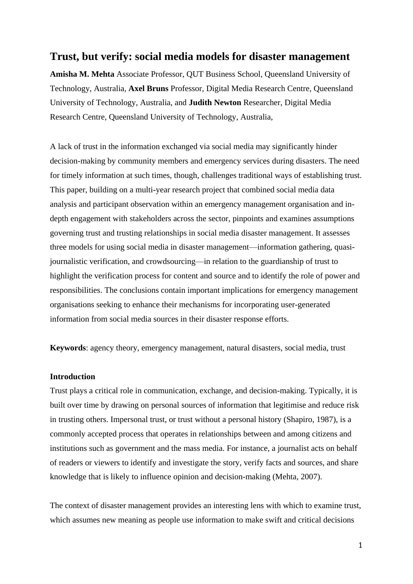# **Trust, but verify: social media models for disaster management**

**Amisha M. Mehta** Associate Professor, QUT Business School, Queensland University of Technology, Australia, **Axel Bruns** Professor, Digital Media Research Centre, Queensland University of Technology, Australia, and **Judith Newton** Researcher, Digital Media Research Centre, Queensland University of Technology, Australia,

A lack of trust in the information exchanged via social media may significantly hinder decision-making by community members and emergency services during disasters. The need for timely information at such times, though, challenges traditional ways of establishing trust. This paper, building on a multi-year research project that combined social media data analysis and participant observation within an emergency management organisation and indepth engagement with stakeholders across the sector, pinpoints and examines assumptions governing trust and trusting relationships in social media disaster management. It assesses three models for using social media in disaster management—information gathering, quasijournalistic verification, and crowdsourcing—in relation to the guardianship of trust to highlight the verification process for content and source and to identify the role of power and responsibilities. The conclusions contain important implications for emergency management organisations seeking to enhance their mechanisms for incorporating user-generated information from social media sources in their disaster response efforts.

**Keywords**: agency theory, emergency management, natural disasters, social media, trust

# **Introduction**

Trust plays a critical role in communication, exchange, and decision-making. Typically, it is built over time by drawing on personal sources of information that legitimise and reduce risk in trusting others. Impersonal trust, or trust without a personal history (Shapiro, 1987), is a commonly accepted process that operates in relationships between and among citizens and institutions such as government and the mass media. For instance, a journalist acts on behalf of readers or viewers to identify and investigate the story, verify facts and sources, and share knowledge that is likely to influence opinion and decision-making (Mehta, 2007).

The context of disaster management provides an interesting lens with which to examine trust, which assumes new meaning as people use information to make swift and critical decisions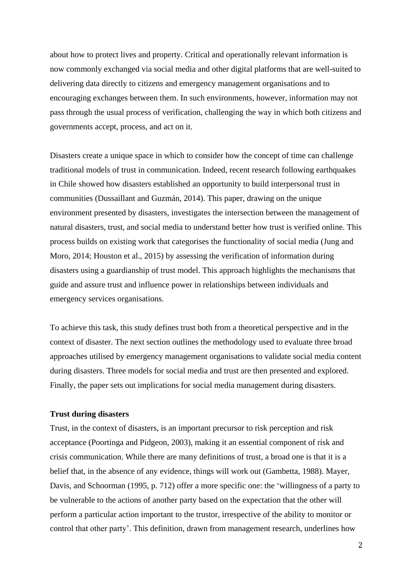about how to protect lives and property. Critical and operationally relevant information is now commonly exchanged via social media and other digital platforms that are well-suited to delivering data directly to citizens and emergency management organisations and to encouraging exchanges between them. In such environments, however, information may not pass through the usual process of verification, challenging the way in which both citizens and governments accept, process, and act on it.

Disasters create a unique space in which to consider how the concept of time can challenge traditional models of trust in communication. Indeed, recent research following earthquakes in Chile showed how disasters established an opportunity to build interpersonal trust in communities (Dussaillant and Guzmán, 2014). This paper, drawing on the unique environment presented by disasters, investigates the intersection between the management of natural disasters, trust, and social media to understand better how trust is verified online. This process builds on existing work that categorises the functionality of social media (Jung and Moro, 2014; Houston et al., 2015) by assessing the verification of information during disasters using a guardianship of trust model. This approach highlights the mechanisms that guide and assure trust and influence power in relationships between individuals and emergency services organisations.

To achieve this task, this study defines trust both from a theoretical perspective and in the context of disaster. The next section outlines the methodology used to evaluate three broad approaches utilised by emergency management organisations to validate social media content during disasters. Three models for social media and trust are then presented and explored. Finally, the paper sets out implications for social media management during disasters.

## **Trust during disasters**

Trust, in the context of disasters, is an important precursor to risk perception and risk acceptance (Poortinga and Pidgeon, 2003), making it an essential component of risk and crisis communication. While there are many definitions of trust, a broad one is that it is a belief that, in the absence of any evidence, things will work out (Gambetta, 1988). Mayer, Davis, and Schoorman (1995, p. 712) offer a more specific one: the 'willingness of a party to be vulnerable to the actions of another party based on the expectation that the other will perform a particular action important to the trustor, irrespective of the ability to monitor or control that other party'. This definition, drawn from management research, underlines how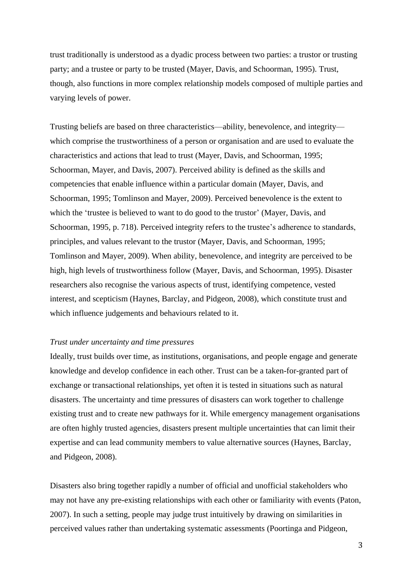trust traditionally is understood as a dyadic process between two parties: a trustor or trusting party; and a trustee or party to be trusted (Mayer, Davis, and Schoorman, 1995). Trust, though, also functions in more complex relationship models composed of multiple parties and varying levels of power.

Trusting beliefs are based on three characteristics—ability, benevolence, and integrity which comprise the trustworthiness of a person or organisation and are used to evaluate the characteristics and actions that lead to trust (Mayer, Davis, and Schoorman, 1995; Schoorman, Mayer, and Davis, 2007). Perceived ability is defined as the skills and competencies that enable influence within a particular domain (Mayer, Davis, and Schoorman, 1995; Tomlinson and Mayer, 2009). Perceived benevolence is the extent to which the 'trustee is believed to want to do good to the trustor' (Mayer, Davis, and Schoorman, 1995, p. 718). Perceived integrity refers to the trustee's adherence to standards, principles, and values relevant to the trustor (Mayer, Davis, and Schoorman, 1995; Tomlinson and Mayer, 2009). When ability, benevolence, and integrity are perceived to be high, high levels of trustworthiness follow (Mayer, Davis, and Schoorman, 1995). Disaster researchers also recognise the various aspects of trust, identifying competence, vested interest, and scepticism (Haynes, Barclay, and Pidgeon, 2008), which constitute trust and which influence judgements and behaviours related to it.

## *Trust under uncertainty and time pressures*

Ideally, trust builds over time, as institutions, organisations, and people engage and generate knowledge and develop confidence in each other. Trust can be a taken-for-granted part of exchange or transactional relationships, yet often it is tested in situations such as natural disasters. The uncertainty and time pressures of disasters can work together to challenge existing trust and to create new pathways for it. While emergency management organisations are often highly trusted agencies, disasters present multiple uncertainties that can limit their expertise and can lead community members to value alternative sources (Haynes, Barclay, and Pidgeon, 2008).

Disasters also bring together rapidly a number of official and unofficial stakeholders who may not have any pre-existing relationships with each other or familiarity with events (Paton, 2007). In such a setting, people may judge trust intuitively by drawing on similarities in perceived values rather than undertaking systematic assessments (Poortinga and Pidgeon,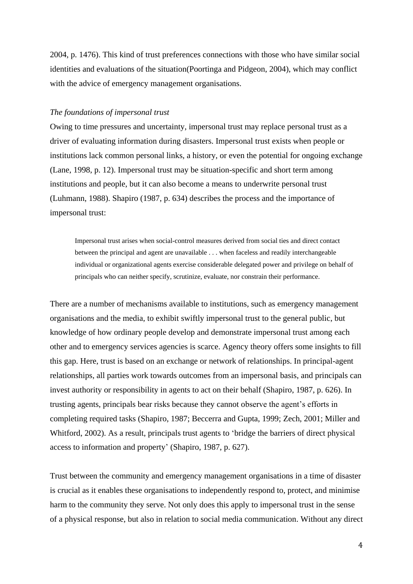2004, p. 1476). This kind of trust preferences connections with those who have similar social identities and evaluations of the situation(Poortinga and Pidgeon, 2004), which may conflict with the advice of emergency management organisations.

## *The foundations of impersonal trust*

Owing to time pressures and uncertainty, impersonal trust may replace personal trust as a driver of evaluating information during disasters. Impersonal trust exists when people or institutions lack common personal links, a history, or even the potential for ongoing exchange (Lane, 1998, p. 12). Impersonal trust may be situation-specific and short term among institutions and people, but it can also become a means to underwrite personal trust (Luhmann, 1988). Shapiro (1987, p. 634) describes the process and the importance of impersonal trust:

Impersonal trust arises when social-control measures derived from social ties and direct contact between the principal and agent are unavailable . . . when faceless and readily interchangeable individual or organizational agents exercise considerable delegated power and privilege on behalf of principals who can neither specify, scrutinize, evaluate, nor constrain their performance.

There are a number of mechanisms available to institutions, such as emergency management organisations and the media, to exhibit swiftly impersonal trust to the general public, but knowledge of how ordinary people develop and demonstrate impersonal trust among each other and to emergency services agencies is scarce. Agency theory offers some insights to fill this gap. Here, trust is based on an exchange or network of relationships. In principal-agent relationships, all parties work towards outcomes from an impersonal basis, and principals can invest authority or responsibility in agents to act on their behalf (Shapiro, 1987, p. 626). In trusting agents, principals bear risks because they cannot observe the agent's efforts in completing required tasks (Shapiro, 1987; Beccerra and Gupta, 1999; Zech, 2001; Miller and Whitford, 2002). As a result, principals trust agents to 'bridge the barriers of direct physical access to information and property' (Shapiro, 1987, p. 627).

Trust between the community and emergency management organisations in a time of disaster is crucial as it enables these organisations to independently respond to, protect, and minimise harm to the community they serve. Not only does this apply to impersonal trust in the sense of a physical response, but also in relation to social media communication. Without any direct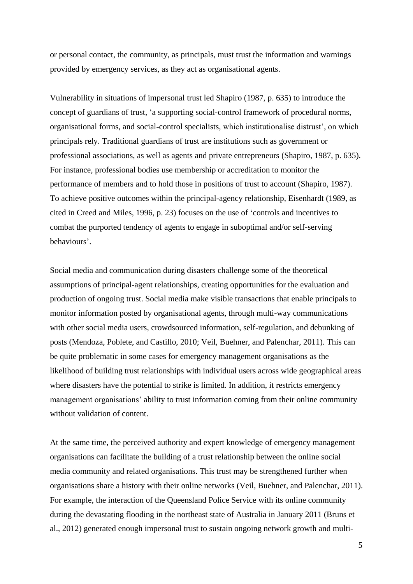or personal contact, the community, as principals, must trust the information and warnings provided by emergency services, as they act as organisational agents.

Vulnerability in situations of impersonal trust led Shapiro (1987, p. 635) to introduce the concept of guardians of trust, 'a supporting social-control framework of procedural norms, organisational forms, and social-control specialists, which institutionalise distrust', on which principals rely. Traditional guardians of trust are institutions such as government or professional associations, as well as agents and private entrepreneurs (Shapiro, 1987, p. 635). For instance, professional bodies use membership or accreditation to monitor the performance of members and to hold those in positions of trust to account (Shapiro, 1987). To achieve positive outcomes within the principal-agency relationship, Eisenhardt (1989, as cited in Creed and Miles, 1996, p. 23) focuses on the use of 'controls and incentives to combat the purported tendency of agents to engage in suboptimal and/or self-serving behaviours'.

Social media and communication during disasters challenge some of the theoretical assumptions of principal-agent relationships, creating opportunities for the evaluation and production of ongoing trust. Social media make visible transactions that enable principals to monitor information posted by organisational agents, through multi-way communications with other social media users, crowdsourced information, self-regulation, and debunking of posts (Mendoza, Poblete, and Castillo, 2010; Veil, Buehner, and Palenchar, 2011). This can be quite problematic in some cases for emergency management organisations as the likelihood of building trust relationships with individual users across wide geographical areas where disasters have the potential to strike is limited. In addition, it restricts emergency management organisations' ability to trust information coming from their online community without validation of content.

At the same time, the perceived authority and expert knowledge of emergency management organisations can facilitate the building of a trust relationship between the online social media community and related organisations. This trust may be strengthened further when organisations share a history with their online networks (Veil, Buehner, and Palenchar, 2011). For example, the interaction of the Queensland Police Service with its online community during the devastating flooding in the northeast state of Australia in January 2011 (Bruns et al., 2012) generated enough impersonal trust to sustain ongoing network growth and multi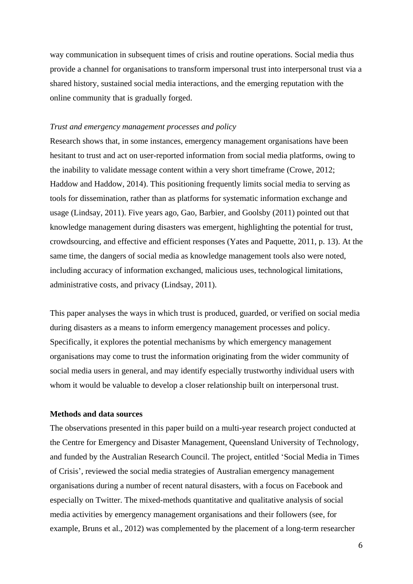way communication in subsequent times of crisis and routine operations. Social media thus provide a channel for organisations to transform impersonal trust into interpersonal trust via a shared history, sustained social media interactions, and the emerging reputation with the online community that is gradually forged.

## *Trust and emergency management processes and policy*

Research shows that, in some instances, emergency management organisations have been hesitant to trust and act on user-reported information from social media platforms, owing to the inability to validate message content within a very short timeframe (Crowe, 2012; Haddow and Haddow, 2014). This positioning frequently limits social media to serving as tools for dissemination, rather than as platforms for systematic information exchange and usage (Lindsay, 2011). Five years ago, Gao, Barbier, and Goolsby (2011) pointed out that knowledge management during disasters was emergent, highlighting the potential for trust, crowdsourcing, and effective and efficient responses (Yates and Paquette, 2011, p. 13). At the same time, the dangers of social media as knowledge management tools also were noted, including accuracy of information exchanged, malicious uses, technological limitations, administrative costs, and privacy (Lindsay, 2011).

This paper analyses the ways in which trust is produced, guarded, or verified on social media during disasters as a means to inform emergency management processes and policy. Specifically, it explores the potential mechanisms by which emergency management organisations may come to trust the information originating from the wider community of social media users in general, and may identify especially trustworthy individual users with whom it would be valuable to develop a closer relationship built on interpersonal trust.

# **Methods and data sources**

The observations presented in this paper build on a multi-year research project conducted at the Centre for Emergency and Disaster Management, Queensland University of Technology, and funded by the Australian Research Council. The project, entitled 'Social Media in Times of Crisis', reviewed the social media strategies of Australian emergency management organisations during a number of recent natural disasters, with a focus on Facebook and especially on Twitter. The mixed-methods quantitative and qualitative analysis of social media activities by emergency management organisations and their followers (see, for example, Bruns et al., 2012) was complemented by the placement of a long-term researcher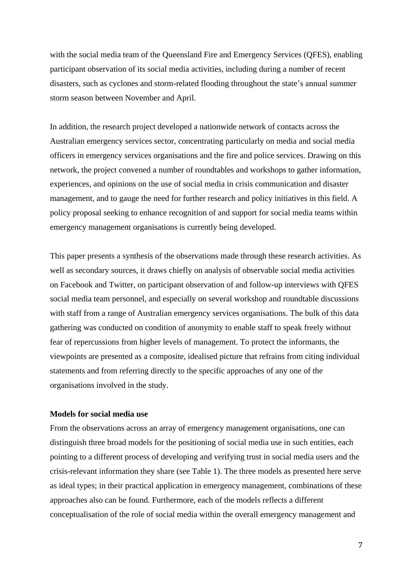with the social media team of the Queensland Fire and Emergency Services (QFES), enabling participant observation of its social media activities, including during a number of recent disasters, such as cyclones and storm-related flooding throughout the state's annual summer storm season between November and April.

In addition, the research project developed a nationwide network of contacts across the Australian emergency services sector, concentrating particularly on media and social media officers in emergency services organisations and the fire and police services. Drawing on this network, the project convened a number of roundtables and workshops to gather information, experiences, and opinions on the use of social media in crisis communication and disaster management, and to gauge the need for further research and policy initiatives in this field. A policy proposal seeking to enhance recognition of and support for social media teams within emergency management organisations is currently being developed.

This paper presents a synthesis of the observations made through these research activities. As well as secondary sources, it draws chiefly on analysis of observable social media activities on Facebook and Twitter, on participant observation of and follow-up interviews with QFES social media team personnel, and especially on several workshop and roundtable discussions with staff from a range of Australian emergency services organisations. The bulk of this data gathering was conducted on condition of anonymity to enable staff to speak freely without fear of repercussions from higher levels of management. To protect the informants, the viewpoints are presented as a composite, idealised picture that refrains from citing individual statements and from referring directly to the specific approaches of any one of the organisations involved in the study.

# **Models for social media use**

From the observations across an array of emergency management organisations, one can distinguish three broad models for the positioning of social media use in such entities, each pointing to a different process of developing and verifying trust in social media users and the crisis-relevant information they share (see Table 1). The three models as presented here serve as ideal types; in their practical application in emergency management, combinations of these approaches also can be found. Furthermore, each of the models reflects a different conceptualisation of the role of social media within the overall emergency management and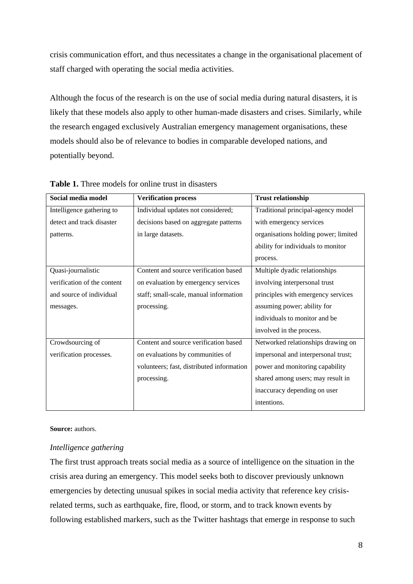crisis communication effort, and thus necessitates a change in the organisational placement of staff charged with operating the social media activities.

Although the focus of the research is on the use of social media during natural disasters, it is likely that these models also apply to other human-made disasters and crises. Similarly, while the research engaged exclusively Australian emergency management organisations, these models should also be of relevance to bodies in comparable developed nations, and potentially beyond.

| Social media model          | <b>Verification process</b>               | <b>Trust relationship</b>            |
|-----------------------------|-------------------------------------------|--------------------------------------|
| Intelligence gathering to   | Individual updates not considered;        | Traditional principal-agency model   |
| detect and track disaster   | decisions based on aggregate patterns     | with emergency services              |
| patterns.                   | in large datasets.                        | organisations holding power; limited |
|                             |                                           | ability for individuals to monitor   |
|                             |                                           | process.                             |
| Quasi-journalistic          | Content and source verification based     | Multiple dyadic relationships        |
| verification of the content | on evaluation by emergency services       | involving interpersonal trust        |
| and source of individual    | staff; small-scale, manual information    | principles with emergency services   |
| messages.                   | processing.                               | assuming power; ability for          |
|                             |                                           | individuals to monitor and be        |
|                             |                                           | involved in the process.             |
| Crowdsourcing of            | Content and source verification based     | Networked relationships drawing on   |
| verification processes.     | on evaluations by communities of          | impersonal and interpersonal trust;  |
|                             | volunteers; fast, distributed information | power and monitoring capability      |
|                             | processing.                               | shared among users; may result in    |
|                             |                                           | inaccuracy depending on user         |
|                             |                                           | intentions.                          |

**Table 1.** Three models for online trust in disasters

# **Source:** authors.

# *Intelligence gathering*

The first trust approach treats social media as a source of intelligence on the situation in the crisis area during an emergency. This model seeks both to discover previously unknown emergencies by detecting unusual spikes in social media activity that reference key crisisrelated terms, such as earthquake, fire, flood, or storm, and to track known events by following established markers, such as the Twitter hashtags that emerge in response to such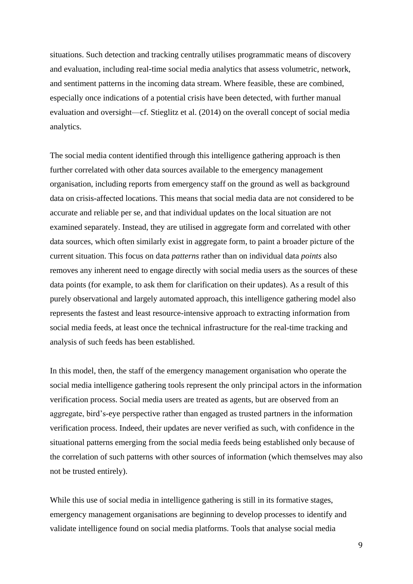situations. Such detection and tracking centrally utilises programmatic means of discovery and evaluation, including real-time social media analytics that assess volumetric, network, and sentiment patterns in the incoming data stream. Where feasible, these are combined, especially once indications of a potential crisis have been detected, with further manual evaluation and oversight—cf. Stieglitz et al. (2014) on the overall concept of social media analytics.

The social media content identified through this intelligence gathering approach is then further correlated with other data sources available to the emergency management organisation, including reports from emergency staff on the ground as well as background data on crisis-affected locations. This means that social media data are not considered to be accurate and reliable per se, and that individual updates on the local situation are not examined separately. Instead, they are utilised in aggregate form and correlated with other data sources, which often similarly exist in aggregate form, to paint a broader picture of the current situation. This focus on data *patterns* rather than on individual data *points* also removes any inherent need to engage directly with social media users as the sources of these data points (for example, to ask them for clarification on their updates). As a result of this purely observational and largely automated approach, this intelligence gathering model also represents the fastest and least resource-intensive approach to extracting information from social media feeds, at least once the technical infrastructure for the real-time tracking and analysis of such feeds has been established.

In this model, then, the staff of the emergency management organisation who operate the social media intelligence gathering tools represent the only principal actors in the information verification process. Social media users are treated as agents, but are observed from an aggregate, bird's-eye perspective rather than engaged as trusted partners in the information verification process. Indeed, their updates are never verified as such, with confidence in the situational patterns emerging from the social media feeds being established only because of the correlation of such patterns with other sources of information (which themselves may also not be trusted entirely).

While this use of social media in intelligence gathering is still in its formative stages, emergency management organisations are beginning to develop processes to identify and validate intelligence found on social media platforms. Tools that analyse social media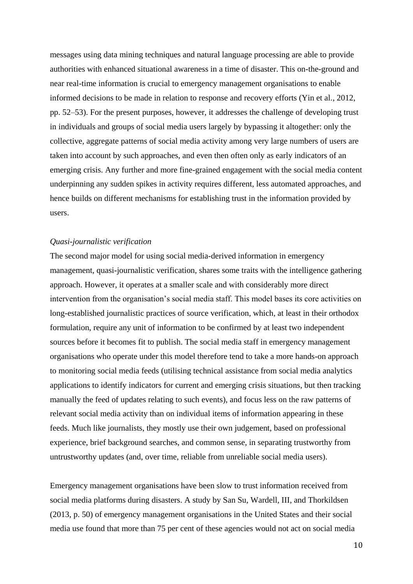messages using data mining techniques and natural language processing are able to provide authorities with enhanced situational awareness in a time of disaster. This on-the-ground and near real-time information is crucial to emergency management organisations to enable informed decisions to be made in relation to response and recovery efforts (Yin et al., 2012, pp. 52–53). For the present purposes, however, it addresses the challenge of developing trust in individuals and groups of social media users largely by bypassing it altogether: only the collective, aggregate patterns of social media activity among very large numbers of users are taken into account by such approaches, and even then often only as early indicators of an emerging crisis. Any further and more fine-grained engagement with the social media content underpinning any sudden spikes in activity requires different, less automated approaches, and hence builds on different mechanisms for establishing trust in the information provided by users.

## *Quasi-journalistic verification*

The second major model for using social media-derived information in emergency management, quasi-journalistic verification, shares some traits with the intelligence gathering approach. However, it operates at a smaller scale and with considerably more direct intervention from the organisation's social media staff. This model bases its core activities on long-established journalistic practices of source verification, which, at least in their orthodox formulation, require any unit of information to be confirmed by at least two independent sources before it becomes fit to publish. The social media staff in emergency management organisations who operate under this model therefore tend to take a more hands-on approach to monitoring social media feeds (utilising technical assistance from social media analytics applications to identify indicators for current and emerging crisis situations, but then tracking manually the feed of updates relating to such events), and focus less on the raw patterns of relevant social media activity than on individual items of information appearing in these feeds. Much like journalists, they mostly use their own judgement, based on professional experience, brief background searches, and common sense, in separating trustworthy from untrustworthy updates (and, over time, reliable from unreliable social media users).

Emergency management organisations have been slow to trust information received from social media platforms during disasters. A study by San Su, Wardell, III, and Thorkildsen (2013, p. 50) of emergency management organisations in the United States and their social media use found that more than 75 per cent of these agencies would not act on social media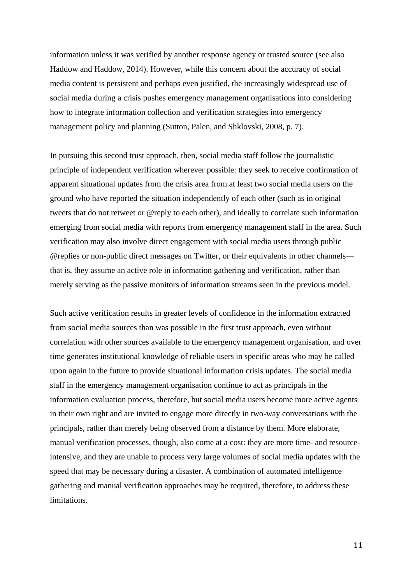information unless it was verified by another response agency or trusted source (see also Haddow and Haddow, 2014). However, while this concern about the accuracy of social media content is persistent and perhaps even justified, the increasingly widespread use of social media during a crisis pushes emergency management organisations into considering how to integrate information collection and verification strategies into emergency management policy and planning (Sutton, Palen, and Shklovski, 2008, p. 7).

In pursuing this second trust approach, then, social media staff follow the journalistic principle of independent verification wherever possible: they seek to receive confirmation of apparent situational updates from the crisis area from at least two social media users on the ground who have reported the situation independently of each other (such as in original tweets that do not retweet or @reply to each other), and ideally to correlate such information emerging from social media with reports from emergency management staff in the area. Such verification may also involve direct engagement with social media users through public @replies or non-public direct messages on Twitter, or their equivalents in other channels that is, they assume an active role in information gathering and verification, rather than merely serving as the passive monitors of information streams seen in the previous model.

Such active verification results in greater levels of confidence in the information extracted from social media sources than was possible in the first trust approach, even without correlation with other sources available to the emergency management organisation, and over time generates institutional knowledge of reliable users in specific areas who may be called upon again in the future to provide situational information crisis updates. The social media staff in the emergency management organisation continue to act as principals in the information evaluation process, therefore, but social media users become more active agents in their own right and are invited to engage more directly in two-way conversations with the principals, rather than merely being observed from a distance by them. More elaborate, manual verification processes, though, also come at a cost: they are more time- and resourceintensive, and they are unable to process very large volumes of social media updates with the speed that may be necessary during a disaster. A combination of automated intelligence gathering and manual verification approaches may be required, therefore, to address these limitations.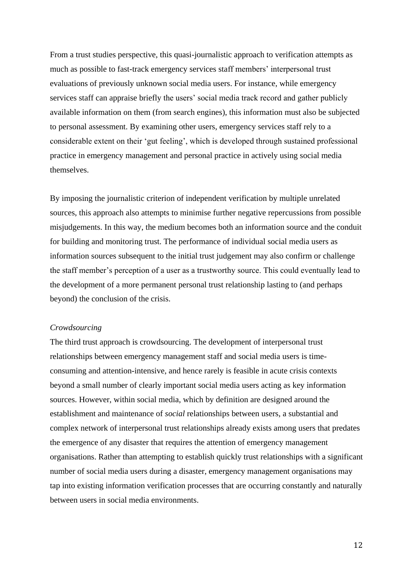From a trust studies perspective, this quasi-journalistic approach to verification attempts as much as possible to fast-track emergency services staff members' interpersonal trust evaluations of previously unknown social media users. For instance, while emergency services staff can appraise briefly the users' social media track record and gather publicly available information on them (from search engines), this information must also be subjected to personal assessment. By examining other users, emergency services staff rely to a considerable extent on their 'gut feeling', which is developed through sustained professional practice in emergency management and personal practice in actively using social media themselves.

By imposing the journalistic criterion of independent verification by multiple unrelated sources, this approach also attempts to minimise further negative repercussions from possible misjudgements. In this way, the medium becomes both an information source and the conduit for building and monitoring trust. The performance of individual social media users as information sources subsequent to the initial trust judgement may also confirm or challenge the staff member's perception of a user as a trustworthy source. This could eventually lead to the development of a more permanent personal trust relationship lasting to (and perhaps beyond) the conclusion of the crisis.

## *Crowdsourcing*

The third trust approach is crowdsourcing. The development of interpersonal trust relationships between emergency management staff and social media users is timeconsuming and attention-intensive, and hence rarely is feasible in acute crisis contexts beyond a small number of clearly important social media users acting as key information sources. However, within social media, which by definition are designed around the establishment and maintenance of *social* relationships between users, a substantial and complex network of interpersonal trust relationships already exists among users that predates the emergence of any disaster that requires the attention of emergency management organisations. Rather than attempting to establish quickly trust relationships with a significant number of social media users during a disaster, emergency management organisations may tap into existing information verification processes that are occurring constantly and naturally between users in social media environments.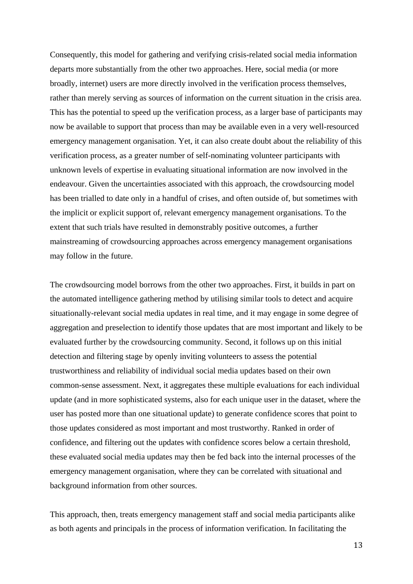Consequently, this model for gathering and verifying crisis-related social media information departs more substantially from the other two approaches. Here, social media (or more broadly, internet) users are more directly involved in the verification process themselves, rather than merely serving as sources of information on the current situation in the crisis area. This has the potential to speed up the verification process, as a larger base of participants may now be available to support that process than may be available even in a very well-resourced emergency management organisation. Yet, it can also create doubt about the reliability of this verification process, as a greater number of self-nominating volunteer participants with unknown levels of expertise in evaluating situational information are now involved in the endeavour. Given the uncertainties associated with this approach, the crowdsourcing model has been trialled to date only in a handful of crises, and often outside of, but sometimes with the implicit or explicit support of, relevant emergency management organisations. To the extent that such trials have resulted in demonstrably positive outcomes, a further mainstreaming of crowdsourcing approaches across emergency management organisations may follow in the future.

The crowdsourcing model borrows from the other two approaches. First, it builds in part on the automated intelligence gathering method by utilising similar tools to detect and acquire situationally-relevant social media updates in real time, and it may engage in some degree of aggregation and preselection to identify those updates that are most important and likely to be evaluated further by the crowdsourcing community. Second, it follows up on this initial detection and filtering stage by openly inviting volunteers to assess the potential trustworthiness and reliability of individual social media updates based on their own common-sense assessment. Next, it aggregates these multiple evaluations for each individual update (and in more sophisticated systems, also for each unique user in the dataset, where the user has posted more than one situational update) to generate confidence scores that point to those updates considered as most important and most trustworthy. Ranked in order of confidence, and filtering out the updates with confidence scores below a certain threshold, these evaluated social media updates may then be fed back into the internal processes of the emergency management organisation, where they can be correlated with situational and background information from other sources.

This approach, then, treats emergency management staff and social media participants alike as both agents and principals in the process of information verification. In facilitating the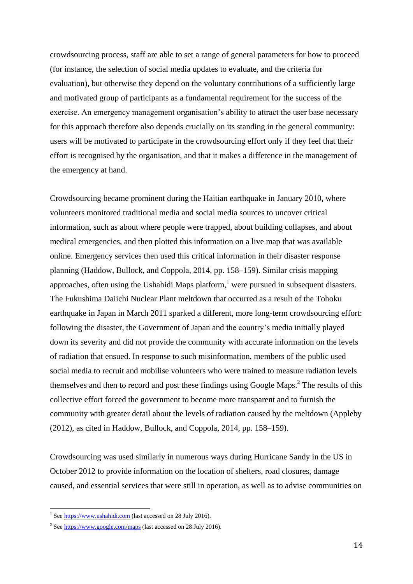crowdsourcing process, staff are able to set a range of general parameters for how to proceed (for instance, the selection of social media updates to evaluate, and the criteria for evaluation), but otherwise they depend on the voluntary contributions of a sufficiently large and motivated group of participants as a fundamental requirement for the success of the exercise. An emergency management organisation's ability to attract the user base necessary for this approach therefore also depends crucially on its standing in the general community: users will be motivated to participate in the crowdsourcing effort only if they feel that their effort is recognised by the organisation, and that it makes a difference in the management of the emergency at hand.

Crowdsourcing became prominent during the Haitian earthquake in January 2010, where volunteers monitored traditional media and social media sources to uncover critical information, such as about where people were trapped, about building collapses, and about medical emergencies, and then plotted this information on a live map that was available online. Emergency services then used this critical information in their disaster response planning (Haddow, Bullock, and Coppola, 2014, pp. 158–159). Similar crisis mapping approaches, often using the Ushahidi Maps platform,<sup>1</sup> were pursued in subsequent disasters. The Fukushima Daiichi Nuclear Plant meltdown that occurred as a result of the Tohoku earthquake in Japan in March 2011 sparked a different, more long-term crowdsourcing effort: following the disaster, the Government of Japan and the country's media initially played down its severity and did not provide the community with accurate information on the levels of radiation that ensued. In response to such misinformation, members of the public used social media to recruit and mobilise volunteers who were trained to measure radiation levels themselves and then to record and post these findings using Google Maps. $^2$  The results of this collective effort forced the government to become more transparent and to furnish the community with greater detail about the levels of radiation caused by the meltdown (Appleby (2012), as cited in Haddow, Bullock, and Coppola, 2014, pp. 158–159).

Crowdsourcing was used similarly in numerous ways during Hurricane Sandy in the US in October 2012 to provide information on the location of shelters, road closures, damage caused, and essential services that were still in operation, as well as to advise communities on

<sup>1&</sup>lt;br>
Se[e https://www.ushahidi.com](https://www.ushahidi.com/) (last accessed on 28 July 2016).

<sup>&</sup>lt;sup>2</sup> Se[e https://www.google.com/maps](https://www.google.com/maps) (last accessed on 28 July 2016).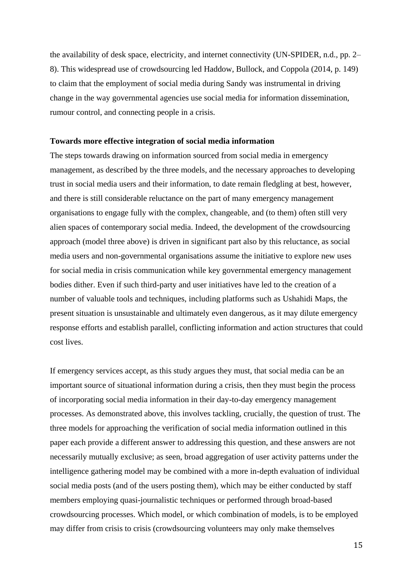the availability of desk space, electricity, and internet connectivity (UN-SPIDER, n.d., pp. 2– 8). This widespread use of crowdsourcing led Haddow, Bullock, and Coppola (2014, p. 149) to claim that the employment of social media during Sandy was instrumental in driving change in the way governmental agencies use social media for information dissemination, rumour control, and connecting people in a crisis.

#### **Towards more effective integration of social media information**

The steps towards drawing on information sourced from social media in emergency management, as described by the three models, and the necessary approaches to developing trust in social media users and their information, to date remain fledgling at best, however, and there is still considerable reluctance on the part of many emergency management organisations to engage fully with the complex, changeable, and (to them) often still very alien spaces of contemporary social media. Indeed, the development of the crowdsourcing approach (model three above) is driven in significant part also by this reluctance, as social media users and non-governmental organisations assume the initiative to explore new uses for social media in crisis communication while key governmental emergency management bodies dither. Even if such third-party and user initiatives have led to the creation of a number of valuable tools and techniques, including platforms such as Ushahidi Maps, the present situation is unsustainable and ultimately even dangerous, as it may dilute emergency response efforts and establish parallel, conflicting information and action structures that could cost lives.

If emergency services accept, as this study argues they must, that social media can be an important source of situational information during a crisis, then they must begin the process of incorporating social media information in their day-to-day emergency management processes. As demonstrated above, this involves tackling, crucially, the question of trust. The three models for approaching the verification of social media information outlined in this paper each provide a different answer to addressing this question, and these answers are not necessarily mutually exclusive; as seen, broad aggregation of user activity patterns under the intelligence gathering model may be combined with a more in-depth evaluation of individual social media posts (and of the users posting them), which may be either conducted by staff members employing quasi-journalistic techniques or performed through broad-based crowdsourcing processes. Which model, or which combination of models, is to be employed may differ from crisis to crisis (crowdsourcing volunteers may only make themselves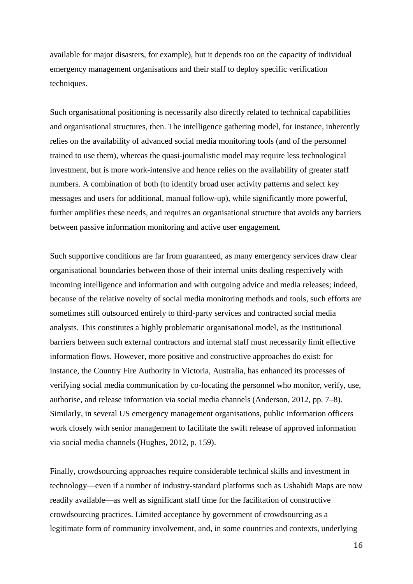available for major disasters, for example), but it depends too on the capacity of individual emergency management organisations and their staff to deploy specific verification techniques.

Such organisational positioning is necessarily also directly related to technical capabilities and organisational structures, then. The intelligence gathering model, for instance, inherently relies on the availability of advanced social media monitoring tools (and of the personnel trained to use them), whereas the quasi-journalistic model may require less technological investment, but is more work-intensive and hence relies on the availability of greater staff numbers. A combination of both (to identify broad user activity patterns and select key messages and users for additional, manual follow-up), while significantly more powerful, further amplifies these needs, and requires an organisational structure that avoids any barriers between passive information monitoring and active user engagement.

Such supportive conditions are far from guaranteed, as many emergency services draw clear organisational boundaries between those of their internal units dealing respectively with incoming intelligence and information and with outgoing advice and media releases; indeed, because of the relative novelty of social media monitoring methods and tools, such efforts are sometimes still outsourced entirely to third-party services and contracted social media analysts. This constitutes a highly problematic organisational model, as the institutional barriers between such external contractors and internal staff must necessarily limit effective information flows. However, more positive and constructive approaches do exist: for instance, the Country Fire Authority in Victoria, Australia, has enhanced its processes of verifying social media communication by co-locating the personnel who monitor, verify, use, authorise, and release information via social media channels (Anderson, 2012, pp. 7–8). Similarly, in several US emergency management organisations, public information officers work closely with senior management to facilitate the swift release of approved information via social media channels (Hughes, 2012, p. 159).

Finally, crowdsourcing approaches require considerable technical skills and investment in technology—even if a number of industry-standard platforms such as Ushahidi Maps are now readily available—as well as significant staff time for the facilitation of constructive crowdsourcing practices. Limited acceptance by government of crowdsourcing as a legitimate form of community involvement, and, in some countries and contexts, underlying

16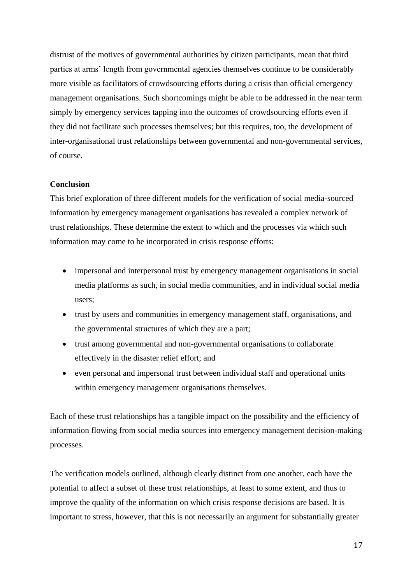distrust of the motives of governmental authorities by citizen participants, mean that third parties at arms' length from governmental agencies themselves continue to be considerably more visible as facilitators of crowdsourcing efforts during a crisis than official emergency management organisations. Such shortcomings might be able to be addressed in the near term simply by emergency services tapping into the outcomes of crowdsourcing efforts even if they did not facilitate such processes themselves; but this requires, too, the development of inter-organisational trust relationships between governmental and non-governmental services, of course.

# **Conclusion**

This brief exploration of three different models for the verification of social media-sourced information by emergency management organisations has revealed a complex network of trust relationships. These determine the extent to which and the processes via which such information may come to be incorporated in crisis response efforts:

- impersonal and interpersonal trust by emergency management organisations in social media platforms as such, in social media communities, and in individual social media users;
- trust by users and communities in emergency management staff, organisations, and the governmental structures of which they are a part;
- trust among governmental and non-governmental organisations to collaborate effectively in the disaster relief effort; and
- even personal and impersonal trust between individual staff and operational units within emergency management organisations themselves.

Each of these trust relationships has a tangible impact on the possibility and the efficiency of information flowing from social media sources into emergency management decision-making processes.

The verification models outlined, although clearly distinct from one another, each have the potential to affect a subset of these trust relationships, at least to some extent, and thus to improve the quality of the information on which crisis response decisions are based. It is important to stress, however, that this is not necessarily an argument for substantially greater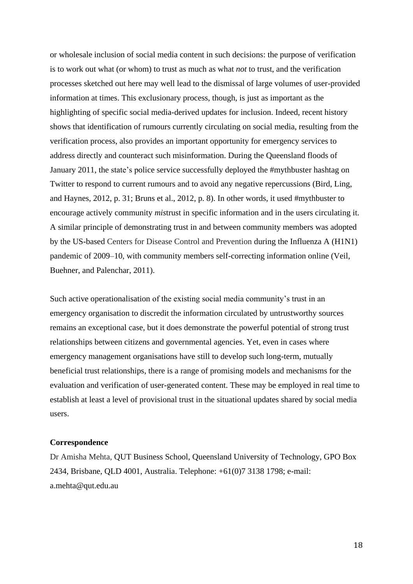or wholesale inclusion of social media content in such decisions: the purpose of verification is to work out what (or whom) to trust as much as what *not* to trust, and the verification processes sketched out here may well lead to the dismissal of large volumes of user-provided information at times. This exclusionary process, though, is just as important as the highlighting of specific social media-derived updates for inclusion. Indeed, recent history shows that identification of rumours currently circulating on social media, resulting from the verification process, also provides an important opportunity for emergency services to address directly and counteract such misinformation. During the Queensland floods of January 2011, the state's police service successfully deployed the #mythbuster hashtag on Twitter to respond to current rumours and to avoid any negative repercussions (Bird, Ling, and Haynes, 2012, p. 31; Bruns et al., 2012, p. 8). In other words, it used #mythbuster to encourage actively community *mis*trust in specific information and in the users circulating it. A similar principle of demonstrating trust in and between community members was adopted by the US-based Centers for Disease Control and Prevention during the Influenza A (H1N1) pandemic of 2009–10, with community members self-correcting information online (Veil, Buehner, and Palenchar, 2011).

Such active operationalisation of the existing social media community's trust in an emergency organisation to discredit the information circulated by untrustworthy sources remains an exceptional case, but it does demonstrate the powerful potential of strong trust relationships between citizens and governmental agencies. Yet, even in cases where emergency management organisations have still to develop such long-term, mutually beneficial trust relationships, there is a range of promising models and mechanisms for the evaluation and verification of user-generated content. These may be employed in real time to establish at least a level of provisional trust in the situational updates shared by social media users.

## **Correspondence**

Dr Amisha Mehta, QUT Business School, Queensland University of Technology, GPO Box 2434, Brisbane, QLD 4001, Australia. Telephone: +61(0)7 3138 1798; e-mail: a.mehta@qut.edu.au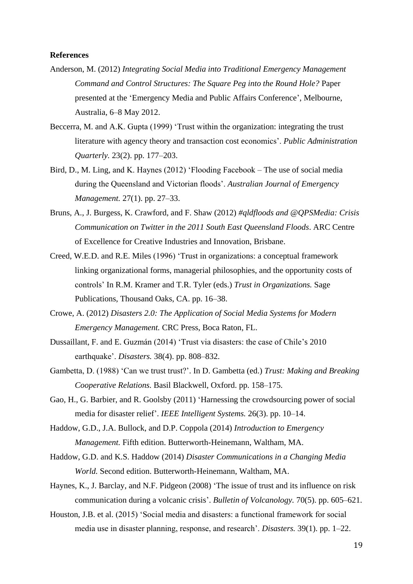## **References**

- Anderson, M. (2012) *Integrating Social Media into Traditional Emergency Management Command and Control Structures: The Square Peg into the Round Hole?* Paper presented at the 'Emergency Media and Public Affairs Conference', Melbourne, Australia, 6–8 May 2012.
- Beccerra, M. and A.K. Gupta (1999) 'Trust within the organization: integrating the trust literature with agency theory and transaction cost economics'. *Public Administration Quarterly.* 23(2). pp. 177–203.
- Bird, D., M. Ling, and K. Haynes (2012) 'Flooding Facebook The use of social media during the Queensland and Victorian floods'. *Australian Journal of Emergency Management.* 27(1). pp. 27–33.
- Bruns, A., J. Burgess, K. Crawford, and F. Shaw (2012) *#qldfloods and @QPSMedia: Crisis Communication on Twitter in the 2011 South East Queensland Floods*. ARC Centre of Excellence for Creative Industries and Innovation, Brisbane.
- Creed, W.E.D. and R.E. Miles (1996) 'Trust in organizations: a conceptual framework linking organizational forms, managerial philosophies, and the opportunity costs of controls' In R.M. Kramer and T.R. Tyler (eds.) *Trust in Organizations.* Sage Publications, Thousand Oaks, CA. pp. 16–38.
- Crowe, A. (2012) *Disasters 2.0: The Application of Social Media Systems for Modern Emergency Management.* CRC Press, Boca Raton, FL.
- Dussaillant, F. and E. Guzmán (2014) 'Trust via disasters: the case of Chile's 2010 earthquake'. *Disasters.* 38(4). pp. 808–832.
- Gambetta, D. (1988) 'Can we trust trust?'. In D. Gambetta (ed.) *Trust: Making and Breaking Cooperative Relations.* Basil Blackwell, Oxford. pp. 158–175.
- Gao, H., G. Barbier, and R. Goolsby (2011) 'Harnessing the crowdsourcing power of social media for disaster relief'. *IEEE Intelligent Systems.* 26(3). pp. 10–14.
- Haddow, G.D., J.A. Bullock, and D.P. Coppola (2014) *Introduction to Emergency Management.* Fifth edition. Butterworth-Heinemann, Waltham, MA.
- Haddow, G.D. and K.S. Haddow (2014) *Disaster Communications in a Changing Media World.* Second edition. Butterworth-Heinemann, Waltham, MA.
- Haynes, K., J. Barclay, and N.F. Pidgeon (2008) 'The issue of trust and its influence on risk communication during a volcanic crisis'. *Bulletin of Volcanology.* 70(5). pp. 605–621.
- Houston, J.B. et al. (2015) 'Social media and disasters: a functional framework for social media use in disaster planning, response, and research'. *Disasters.* 39(1). pp. 1–22.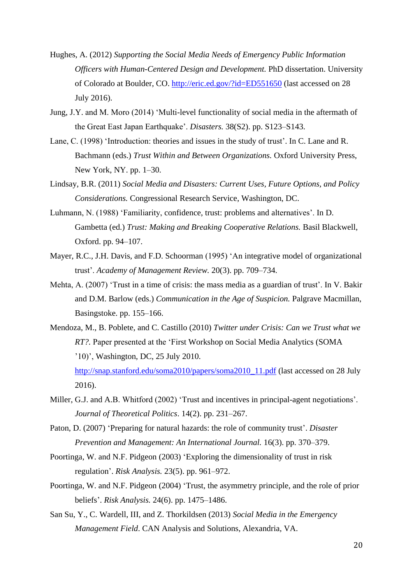- Hughes, A. (2012) *Supporting the Social Media Needs of Emergency Public Information Officers with Human-Centered Design and Development.* PhD dissertation. University of Colorado at Boulder, CO.<http://eric.ed.gov/?id=ED551650> (last accessed on 28 July 2016).
- Jung, J.Y. and M. Moro (2014) 'Multi-level functionality of social media in the aftermath of the Great East Japan Earthquake'. *Disasters.* 38(S2). pp. S123–S143.
- Lane, C. (1998) 'Introduction: theories and issues in the study of trust'. In C. Lane and R. Bachmann (eds.) *Trust Within and Between Organizations.* Oxford University Press, New York, NY. pp. 1–30.
- Lindsay, B.R. (2011) *Social Media and Disasters: Current Uses, Future Options, and Policy Considerations.* Congressional Research Service, Washington, DC.
- Luhmann, N. (1988) 'Familiarity, confidence, trust: problems and alternatives'. In D. Gambetta (ed.) *Trust: Making and Breaking Cooperative Relations.* Basil Blackwell, Oxford. pp. 94–107.
- Mayer, R.C., J.H. Davis, and F.D. Schoorman (1995) 'An integrative model of organizational trust'. *Academy of Management Review.* 20(3). pp. 709–734.
- Mehta, A. (2007) 'Trust in a time of crisis: the mass media as a guardian of trust'. In V. Bakir and D.M. Barlow (eds.) *Communication in the Age of Suspicion.* Palgrave Macmillan, Basingstoke. pp. 155–166.
- Mendoza, M., B. Poblete, and C. Castillo (2010) *Twitter under Crisis: Can we Trust what we RT?.* Paper presented at the 'First Workshop on Social Media Analytics (SOMA '10)', Washington, DC, 25 July 2010. [http://snap.stanford.edu/soma2010/papers/soma2010\\_11.pdf](http://snap.stanford.edu/soma2010/papers/soma2010_11.pdf) (last accessed on 28 July 2016).
- Miller, G.J. and A.B. Whitford (2002) 'Trust and incentives in principal-agent negotiations'. *Journal of Theoretical Politics*. 14(2). pp. 231–267.
- Paton, D. (2007) 'Preparing for natural hazards: the role of community trust'. *Disaster Prevention and Management: An International Journal.* 16(3). pp. 370–379.
- Poortinga, W. and N.F. Pidgeon (2003) 'Exploring the dimensionality of trust in risk regulation'. *Risk Analysis.* 23(5). pp. 961–972.
- Poortinga, W. and N.F. Pidgeon (2004) 'Trust, the asymmetry principle, and the role of prior beliefs'. *Risk Analysis.* 24(6). pp. 1475–1486.
- San Su, Y., C. Wardell, III, and Z. Thorkildsen (2013) *Social Media in the Emergency Management Field*. CAN Analysis and Solutions, Alexandria, VA.